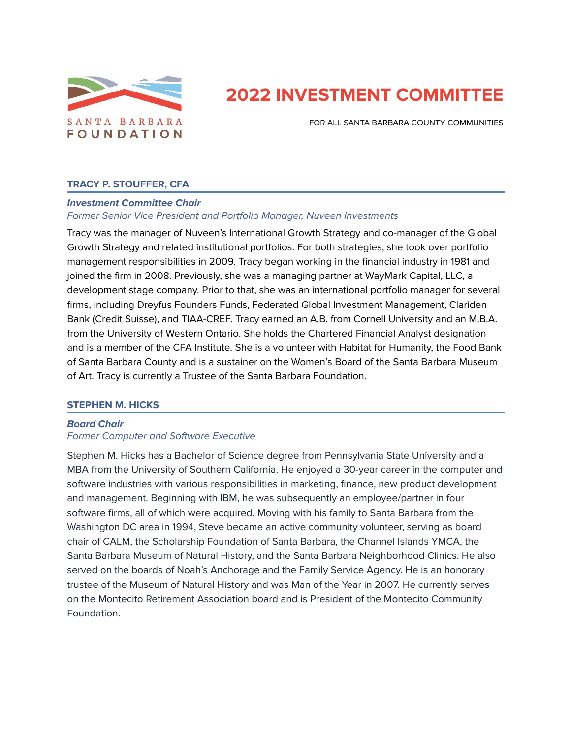

# **2022 INVESTMENT COMMITTEE**

FOR ALL SANTA BARBARA COUNTY COMMUNITIES

# **TRACY P. STOUFFER, CFA**

#### **Investment Committee Chair**

Former Senior Vice President and Portfolio Manager, Nuveen Investments

Tracy was the manager of Nuveen's International Growth Strategy and co-manager of the Global Growth Strategy and related institutional portfolios. For both strategies, she took over portfolio management responsibilities in 2009. Tracy began working in the financial industry in 1981 and joined the firm in 2008. Previously, she was a managing partner at WayMark Capital, LLC, a development stage company. Prior to that, she was an international portfolio manager for several firms, including Dreyfus Founders Funds, Federated Global Investment Management, Clariden Bank (Credit Suisse), and TIAA-CREF. Tracy earned an A.B. from Cornell University and an M.B.A. from the University of Western Ontario. She holds the Chartered Financial Analyst designation and is a member of the CFA Institute. She is a volunteer with Habitat for Humanity, the Food Bank of Santa Barbara County and is a sustainer on the Women's Board of the Santa Barbara Museum of Art. Tracy is currently a Trustee of the Santa Barbara Foundation.

# **STEPHEN M. HICKS**

# **Board Chair** Former Computer and Software Executive

Stephen M. Hicks has a Bachelor of Science degree from Pennsylvania State University and a MBA from the University of Southern California. He enjoyed a 30-year career in the computer and software industries with various responsibilities in marketing, finance, new product development and management. Beginning with IBM, he was subsequently an employee/partner in four software firms, all of which were acquired. Moving with his family to Santa Barbara from the Washington DC area in 1994, Steve became an active community volunteer, serving as board chair of CALM, the Scholarship Foundation of Santa Barbara, the Channel Islands YMCA, the Santa Barbara Museum of Natural History, and the Santa Barbara Neighborhood Clinics. He also served on the boards of Noah's Anchorage and the Family Service Agency. He is an honorary trustee of the Museum of Natural History and was Man of the Year in 2007. He currently serves on the Montecito Retirement Association board and is President of the Montecito Community Foundation.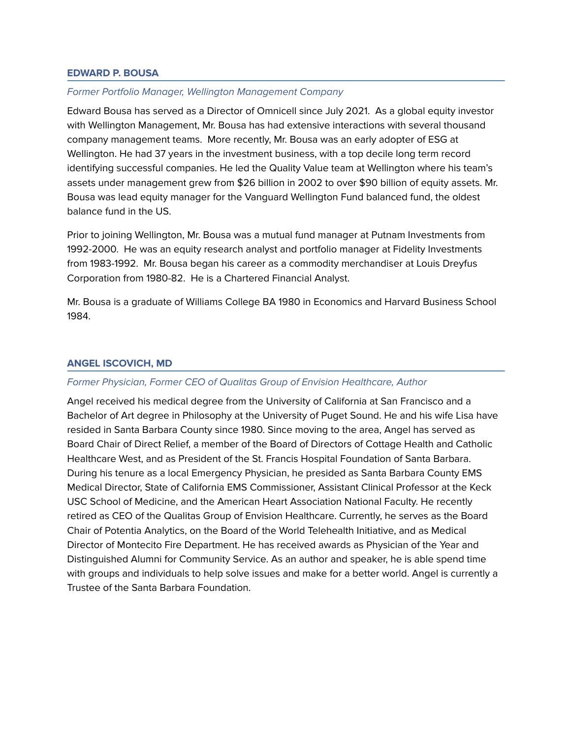# **EDWARD P. BOUSA**

# Former Portfolio Manager, Wellington Management Company

Edward Bousa has served as a Director of Omnicell since July 2021. As a global equity investor with Wellington Management, Mr. Bousa has had extensive interactions with several thousand company management teams. More recently, Mr. Bousa was an early adopter of ESG at Wellington. He had 37 years in the investment business, with a top decile long term record identifying successful companies. He led the Quality Value team at Wellington where his team's assets under management grew from \$26 billion in 2002 to over \$90 billion of equity assets. Mr. Bousa was lead equity manager for the Vanguard Wellington Fund balanced fund, the oldest balance fund in the US.

Prior to joining Wellington, Mr. Bousa was a mutual fund manager at Putnam Investments from 1992-2000. He was an equity research analyst and portfolio manager at Fidelity Investments from 1983-1992. Mr. Bousa began his career as a commodity merchandiser at Louis Dreyfus Corporation from 1980-82. He is a Chartered Financial Analyst.

Mr. Bousa is a graduate of Williams College BA 1980 in Economics and Harvard Business School 1984.

# **ANGEL ISCOVICH, MD**

# Former Physician, Former CEO of Qualitas Group of Envision Healthcare, Author

Angel received his medical degree from the University of California at San Francisco and a Bachelor of Art degree in Philosophy at the University of Puget Sound. He and his wife Lisa have resided in Santa Barbara County since 1980. Since moving to the area, Angel has served as Board Chair of Direct Relief, a member of the Board of Directors of Cottage Health and Catholic Healthcare West, and as President of the St. Francis Hospital Foundation of Santa Barbara. During his tenure as a local Emergency Physician, he presided as Santa Barbara County EMS Medical Director, State of California EMS Commissioner, Assistant Clinical Professor at the Keck USC School of Medicine, and the American Heart Association National Faculty. He recently retired as CEO of the Qualitas Group of Envision Healthcare. Currently, he serves as the Board Chair of Potentia Analytics, on the Board of the World Telehealth Initiative, and as Medical Director of Montecito Fire Department. He has received awards as Physician of the Year and Distinguished Alumni for Community Service. As an author and speaker, he is able spend time with groups and individuals to help solve issues and make for a better world. Angel is currently a Trustee of the Santa Barbara Foundation.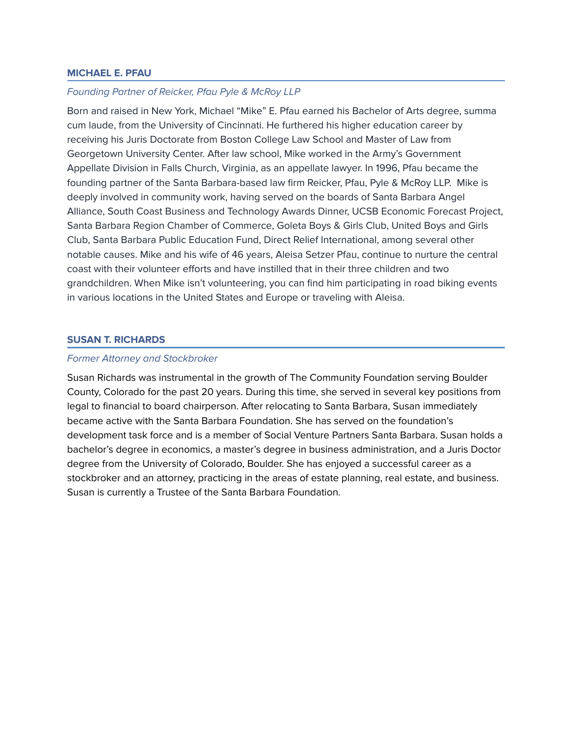# **MICHAEL E. PFAU**

# Founding Partner of Reicker, Pfau Pyle & McRoy LLP

Born and raised in New York, Michael "Mike" E. Pfau earned his Bachelor of Arts degree, summa cum laude, from the University of Cincinnati. He furthered his higher education career by receiving his Juris Doctorate from Boston College Law School and Master of Law from Georgetown University Center. After law school, Mike worked in the Army's Government Appellate Division in Falls Church, Virginia, as an appellate lawyer. In 1996, Pfau became the founding partner of the Santa Barbara-based law firm Reicker, Pfau, Pyle & McRoy LLP. Mike is deeply involved in community work, having served on the boards of Santa Barbara Angel Alliance, South Coast Business and Technology Awards Dinner, UCSB Economic Forecast Project, Santa Barbara Region Chamber of Commerce, Goleta Boys & Girls Club, United Boys and Girls Club, Santa Barbara Public Education Fund, Direct Relief International, among several other notable causes. Mike and his wife of 46 years, Aleisa Setzer Pfau, continue to nurture the central coast with their volunteer efforts and have instilled that in their three children and two grandchildren. When Mike isn't volunteering, you can find him participating in road biking events in various locations in the United States and Europe or traveling with Aleisa.

# **SUSAN T. RICHARDS**

# Former Attorney and Stockbroker

Susan Richards was instrumental in the growth of The Community Foundation serving Boulder County, Colorado for the past 20 years. During this time, she served in several key positions from legal to financial to board chairperson. After relocating to Santa Barbara, Susan immediately became active with the Santa Barbara Foundation. She has served on the foundation's development task force and is a member of Social Venture Partners Santa Barbara. Susan holds a bachelor's degree in economics, a master's degree in business administration, and a Juris Doctor degree from the University of Colorado, Boulder. She has enjoyed a successful career as a stockbroker and an attorney, practicing in the areas of estate planning, real estate, and business. Susan is currently a Trustee of the Santa Barbara Foundation.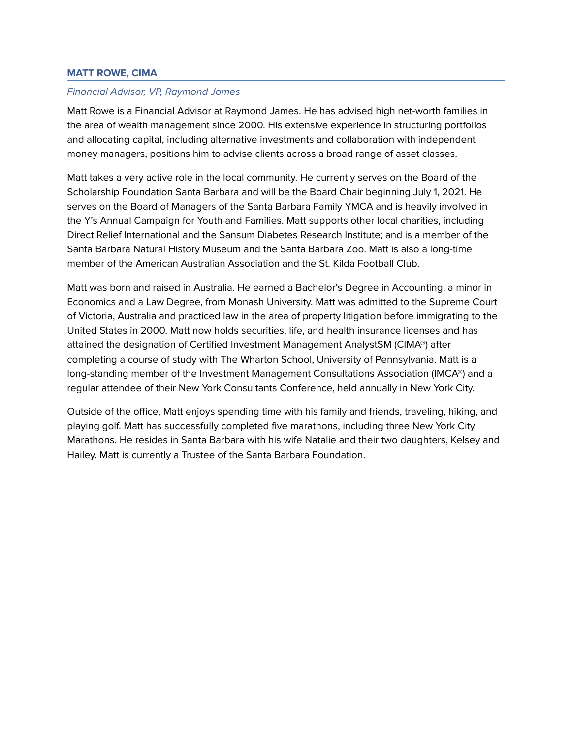# **MATT ROWE, CIMA**

#### Financial Advisor, VP, Raymond James

Matt Rowe is a Financial Advisor at Raymond James. He has advised high net-worth families in the area of wealth management since 2000. His extensive experience in structuring portfolios and allocating capital, including alternative investments and collaboration with independent money managers, positions him to advise clients across a broad range of asset classes.

Matt takes a very active role in the local community. He currently serves on the Board of the Scholarship Foundation Santa Barbara and will be the Board Chair beginning July 1, 2021. He serves on the Board of Managers of the Santa Barbara Family YMCA and is heavily involved in the Y's Annual Campaign for Youth and Families. Matt supports other local charities, including Direct Relief International and the Sansum Diabetes Research Institute; and is a member of the Santa Barbara Natural History Museum and the Santa Barbara Zoo. Matt is also a long-time member of the American Australian Association and the St. Kilda Football Club.

Matt was born and raised in Australia. He earned a Bachelor's Degree in Accounting, a minor in Economics and a Law Degree, from Monash University. Matt was admitted to the Supreme Court of Victoria, Australia and practiced law in the area of property litigation before immigrating to the United States in 2000. Matt now holds securities, life, and health insurance licenses and has attained the designation of Certified Investment Management AnalystSM (CIMA®) after completing a course of study with The Wharton School, University of Pennsylvania. Matt is a long-standing member of the Investment Management Consultations Association (IMCA®) and a regular attendee of their New York Consultants Conference, held annually in New York City.

Outside of the office, Matt enjoys spending time with his family and friends, traveling, hiking, and playing golf. Matt has successfully completed five marathons, including three New York City Marathons. He resides in Santa Barbara with his wife Natalie and their two daughters, Kelsey and Hailey. Matt is currently a Trustee of the Santa Barbara Foundation.